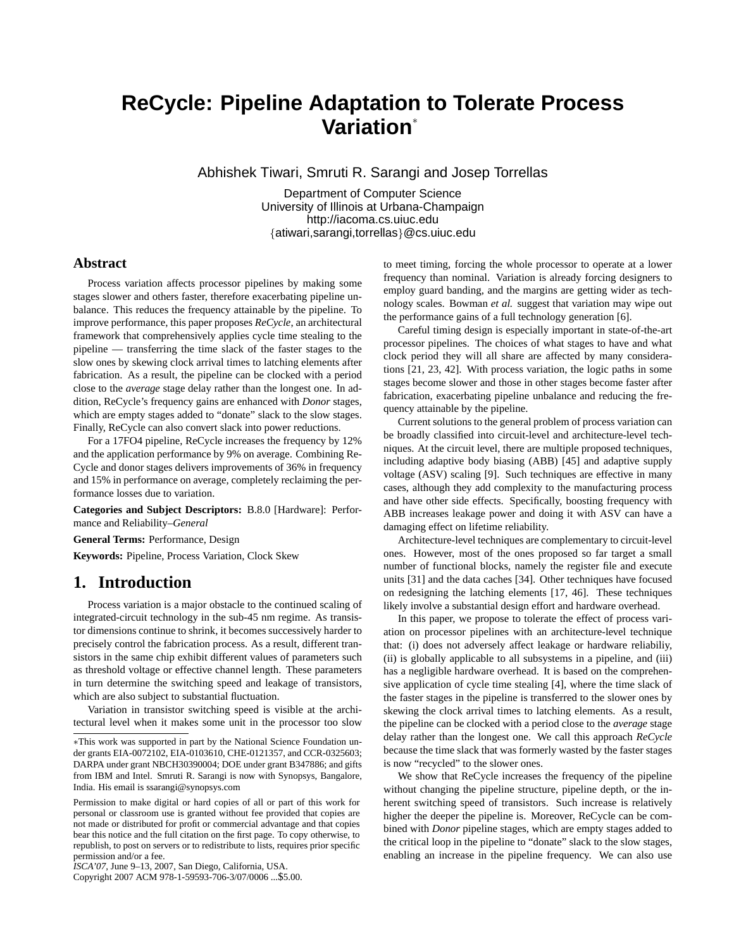# **ReCycle: Pipeline Adaptation to Tolerate Process Variation**<sup>∗</sup>

Abhishek Tiwari, Smruti R. Sarangi and Josep Torrellas

Department of Computer Science University of Illinois at Urbana-Champaign http://iacoma.cs.uiuc.edu {atiwari,sarangi,torrellas}@cs.uiuc.edu

### **Abstract**

Process variation affects processor pipelines by making some stages slower and others faster, therefore exacerbating pipeline unbalance. This reduces the frequency attainable by the pipeline. To improve performance, this paper proposes *ReCycle*, an architectural framework that comprehensively applies cycle time stealing to the pipeline — transferring the time slack of the faster stages to the slow ones by skewing clock arrival times to latching elements after fabrication. As a result, the pipeline can be clocked with a period close to the *average* stage delay rather than the longest one. In addition, ReCycle's frequency gains are enhanced with *Donor* stages, which are empty stages added to "donate" slack to the slow stages. Finally, ReCycle can also convert slack into power reductions.

For a 17FO4 pipeline, ReCycle increases the frequency by 12% and the application performance by 9% on average. Combining Re-Cycle and donor stages delivers improvements of 36% in frequency and 15% in performance on average, completely reclaiming the performance losses due to variation.

**Categories and Subject Descriptors:** B.8.0 [Hardware]: Performance and Reliability–*General*

**General Terms:** Performance, Design

**Keywords:** Pipeline, Process Variation, Clock Skew

## **1. Introduction**

Process variation is a major obstacle to the continued scaling of integrated-circuit technology in the sub-45 nm regime. As transistor dimensions continue to shrink, it becomes successively harder to precisely control the fabrication process. As a result, different transistors in the same chip exhibit different values of parameters such as threshold voltage or effective channel length. These parameters in turn determine the switching speed and leakage of transistors, which are also subject to substantial fluctuation.

Variation in transistor switching speed is visible at the architectural level when it makes some unit in the processor too slow to meet timing, forcing the whole processor to operate at a lower frequency than nominal. Variation is already forcing designers to employ guard banding, and the margins are getting wider as technology scales. Bowman *et al.* suggest that variation may wipe out the performance gains of a full technology generation [6].

Careful timing design is especially important in state-of-the-art processor pipelines. The choices of what stages to have and what clock period they will all share are affected by many considerations [21, 23, 42]. With process variation, the logic paths in some stages become slower and those in other stages become faster after fabrication, exacerbating pipeline unbalance and reducing the frequency attainable by the pipeline.

Current solutions to the general problem of process variation can be broadly classified into circuit-level and architecture-level techniques. At the circuit level, there are multiple proposed techniques, including adaptive body biasing (ABB) [45] and adaptive supply voltage (ASV) scaling [9]. Such techniques are effective in many cases, although they add complexity to the manufacturing process and have other side effects. Specifically, boosting frequency with ABB increases leakage power and doing it with ASV can have a damaging effect on lifetime reliability.

Architecture-level techniques are complementary to circuit-level ones. However, most of the ones proposed so far target a small number of functional blocks, namely the register file and execute units [31] and the data caches [34]. Other techniques have focused on redesigning the latching elements [17, 46]. These techniques likely involve a substantial design effort and hardware overhead.

In this paper, we propose to tolerate the effect of process variation on processor pipelines with an architecture-level technique that: (i) does not adversely affect leakage or hardware reliabiliy, (ii) is globally applicable to all subsystems in a pipeline, and (iii) has a negligible hardware overhead. It is based on the comprehensive application of cycle time stealing [4], where the time slack of the faster stages in the pipeline is transferred to the slower ones by skewing the clock arrival times to latching elements. As a result, the pipeline can be clocked with a period close to the *average* stage delay rather than the longest one. We call this approach *ReCycle* because the time slack that was formerly wasted by the faster stages is now "recycled" to the slower ones.

We show that ReCycle increases the frequency of the pipeline without changing the pipeline structure, pipeline depth, or the inherent switching speed of transistors. Such increase is relatively higher the deeper the pipeline is. Moreover, ReCycle can be combined with *Donor* pipeline stages, which are empty stages added to the critical loop in the pipeline to "donate" slack to the slow stages, enabling an increase in the pipeline frequency. We can also use

<sup>∗</sup>This work was supported in part by the National Science Foundation under grants EIA-0072102, EIA-0103610, CHE-0121357, and CCR-0325603; DARPA under grant NBCH30390004; DOE under grant B347886; and gifts from IBM and Intel. Smruti R. Sarangi is now with Synopsys, Bangalore, India. His email is ssarangi@synopsys.com

Permission to make digital or hard copies of all or part of this work for personal or classroom use is granted without fee provided that copies are not made or distributed for profit or commercial advantage and that copies bear this notice and the full citation on the first page. To copy otherwise, to republish, to post on servers or to redistribute to lists, requires prior specific permission and/or a fee.

*ISCA'07,* June 9–13, 2007, San Diego, California, USA.

Copyright 2007 ACM 978-1-59593-706-3/07/0006 ...\$5.00.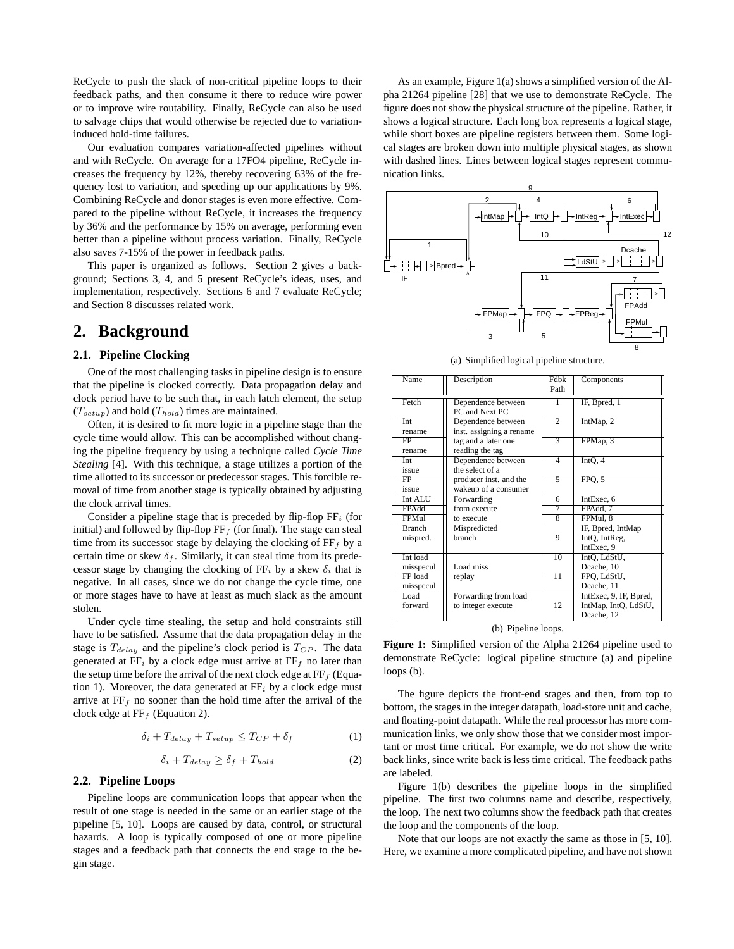ReCycle to push the slack of non-critical pipeline loops to their feedback paths, and then consume it there to reduce wire power or to improve wire routability. Finally, ReCycle can also be used to salvage chips that would otherwise be rejected due to variationinduced hold-time failures.

Our evaluation compares variation-affected pipelines without and with ReCycle. On average for a 17FO4 pipeline, ReCycle increases the frequency by 12%, thereby recovering 63% of the frequency lost to variation, and speeding up our applications by 9%. Combining ReCycle and donor stages is even more effective. Compared to the pipeline without ReCycle, it increases the frequency by 36% and the performance by 15% on average, performing even better than a pipeline without process variation. Finally, ReCycle also saves 7-15% of the power in feedback paths.

This paper is organized as follows. Section 2 gives a background; Sections 3, 4, and 5 present ReCycle's ideas, uses, and implementation, respectively. Sections 6 and 7 evaluate ReCycle; and Section 8 discusses related work.

# **2. Background**

#### **2.1. Pipeline Clocking**

One of the most challenging tasks in pipeline design is to ensure that the pipeline is clocked correctly. Data propagation delay and clock period have to be such that, in each latch element, the setup  $(T<sub>setup</sub>)$  and hold  $(T<sub>hold</sub>)$  times are maintained.

Often, it is desired to fit more logic in a pipeline stage than the cycle time would allow. This can be accomplished without changing the pipeline frequency by using a technique called *Cycle Time Stealing* [4]. With this technique, a stage utilizes a portion of the time allotted to its successor or predecessor stages. This forcible removal of time from another stage is typically obtained by adjusting the clock arrival times.

Consider a pipeline stage that is preceded by flip-flop  $FF_i$  (for initial) and followed by flip-flop  $FF_f$  (for final). The stage can steal time from its successor stage by delaying the clocking of  $FF_f$  by a certain time or skew  $\delta_f$ . Similarly, it can steal time from its predecessor stage by changing the clocking of  $FF_i$  by a skew  $\delta_i$  that is negative. In all cases, since we do not change the cycle time, one or more stages have to have at least as much slack as the amount stolen.

Under cycle time stealing, the setup and hold constraints still have to be satisfied. Assume that the data propagation delay in the stage is  $T_{delay}$  and the pipeline's clock period is  $T_{CP}$ . The data generated at  $FF_i$  by a clock edge must arrive at  $FF_f$  no later than the setup time before the arrival of the next clock edge at  $\overline{FF}_f$  (Equation 1). Moreover, the data generated at  $FF_i$  by a clock edge must arrive at  $FF_f$  no sooner than the hold time after the arrival of the clock edge at  $\overline{FF}_f$  (Equation 2).

$$
\delta_i + T_{delay} + T_{setup} \le T_{CP} + \delta_f \tag{1}
$$

$$
\delta_i + T_{delay} \ge \delta_f + T_{hold} \tag{2}
$$

#### **2.2. Pipeline Loops**

Pipeline loops are communication loops that appear when the result of one stage is needed in the same or an earlier stage of the pipeline [5, 10]. Loops are caused by data, control, or structural hazards. A loop is typically composed of one or more pipeline stages and a feedback path that connects the end stage to the begin stage.

As an example, Figure 1(a) shows a simplified version of the Alpha 21264 pipeline [28] that we use to demonstrate ReCycle. The figure does not show the physical structure of the pipeline. Rather, it shows a logical structure. Each long box represents a logical stage, while short boxes are pipeline registers between them. Some logical stages are broken down into multiple physical stages, as shown with dashed lines. Lines between logical stages represent communication links.



(a) Simplified logical pipeline structure.

| Name                   | Description                          | Fdbk<br>Path    | Components             |
|------------------------|--------------------------------------|-----------------|------------------------|
| Fetch                  | Dependence between<br>PC and Next PC | 1               | IF, Bpred, 1           |
| Int                    | Dependence between                   | $\overline{2}$  | IntMap, 2              |
| rename                 | inst. assigning a rename             |                 |                        |
| FP                     | tag and a later one                  | $\overline{3}$  | FPMap, 3               |
| rename                 | reading the tag                      |                 |                        |
| Int                    | Dependence between                   | $\overline{4}$  | IntO, 4                |
| issue                  | the select of a                      |                 |                        |
| $\overline{\text{FP}}$ | producer inst. and the               | $\overline{5}$  | FPO, 5                 |
| issue                  | wakeup of a consumer                 |                 |                        |
| Int ALU                | Forwarding                           | 6               | IntExec, 6             |
| FPAdd                  | from execute                         | 7               | FPAdd. 7               |
| FPMul                  | to execute                           | $\overline{8}$  | FPMul, 8               |
| <b>Branch</b>          | Mispredicted                         |                 | IF, Bpred, IntMap      |
| mispred.               | branch                               | 9               | IntO, IntReg.          |
|                        |                                      |                 | IntExec, 9             |
| Int load               |                                      | 10              | IntO, LdStU,           |
| misspecul              | Load miss                            |                 | Dcache, 10             |
| FP load                | replay                               | $\overline{11}$ | FPO, LdStU,            |
| misspecul              |                                      |                 | Dcache, 11             |
| Load                   | Forwarding from load                 |                 | IntExec, 9, IF, Bpred, |
| forward                | to integer execute                   | 12              | IntMap, IntQ, LdStU,   |
|                        |                                      |                 | Dcache, 12             |
| $(b)$ Dinaling loops   |                                      |                 |                        |

(b) Pipeline loops.

**Figure 1:** Simplified version of the Alpha 21264 pipeline used to demonstrate ReCycle: logical pipeline structure (a) and pipeline loops (b).

The figure depicts the front-end stages and then, from top to bottom, the stages in the integer datapath, load-store unit and cache, and floating-point datapath. While the real processor has more communication links, we only show those that we consider most important or most time critical. For example, we do not show the write back links, since write back is less time critical. The feedback paths are labeled.

Figure 1(b) describes the pipeline loops in the simplified pipeline. The first two columns name and describe, respectively, the loop. The next two columns show the feedback path that creates the loop and the components of the loop.

Note that our loops are not exactly the same as those in [5, 10]. Here, we examine a more complicated pipeline, and have not shown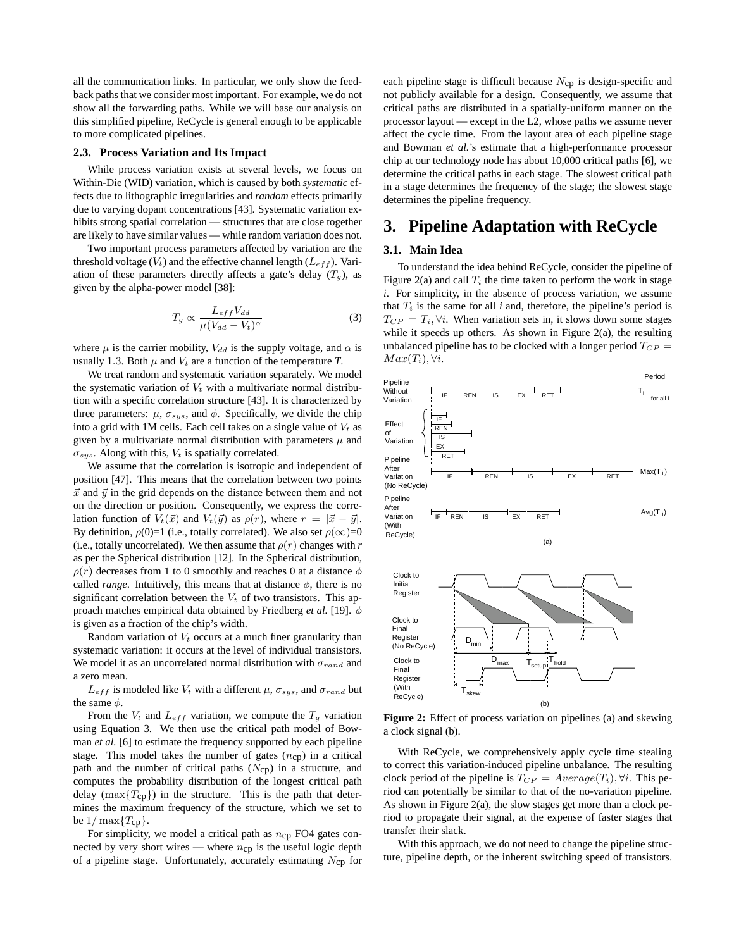all the communication links. In particular, we only show the feedback paths that we consider most important. For example, we do not show all the forwarding paths. While we will base our analysis on this simplified pipeline, ReCycle is general enough to be applicable to more complicated pipelines.

#### **2.3. Process Variation and Its Impact**

While process variation exists at several levels, we focus on Within-Die (WID) variation, which is caused by both *systematic* effects due to lithographic irregularities and *random* effects primarily due to varying dopant concentrations [43]. Systematic variation exhibits strong spatial correlation — structures that are close together are likely to have similar values — while random variation does not.

Two important process parameters affected by variation are the threshold voltage  $(V_t)$  and the effective channel length  $(L_{eff})$ . Variation of these parameters directly affects a gate's delay  $(T_q)$ , as given by the alpha-power model [38]:

$$
T_g \propto \frac{L_{eff} V_{dd}}{\mu (V_{dd} - V_t)^{\alpha}} \tag{3}
$$

where  $\mu$  is the carrier mobility,  $V_{dd}$  is the supply voltage, and  $\alpha$  is usually 1.3. Both  $\mu$  and  $V_t$  are a function of the temperature *T*.

We treat random and systematic variation separately. We model the systematic variation of  $V_t$  with a multivariate normal distribution with a specific correlation structure [43]. It is characterized by three parameters:  $\mu$ ,  $\sigma_{sys}$ , and  $\phi$ . Specifically, we divide the chip into a grid with 1M cells. Each cell takes on a single value of  $V_t$  as given by a multivariate normal distribution with parameters  $\mu$  and  $\sigma_{sys}$ . Along with this,  $V_t$  is spatially correlated.

We assume that the correlation is isotropic and independent of position [47]. This means that the correlation between two points  $\vec{x}$  and  $\vec{y}$  in the grid depends on the distance between them and not on the direction or position. Consequently, we express the correlation function of  $V_t(\vec{x})$  and  $V_t(\vec{y})$  as  $\rho(r)$ , where  $r = |\vec{x} - \vec{y}|$ . By definition,  $\rho(0)=1$  (i.e., totally correlated). We also set  $\rho(\infty)=0$ (i.e., totally uncorrelated). We then assume that  $\rho(r)$  changes with *r* as per the Spherical distribution [12]. In the Spherical distribution,  $\rho(r)$  decreases from 1 to 0 smoothly and reaches 0 at a distance  $\phi$ called *range*. Intuitively, this means that at distance  $\phi$ , there is no significant correlation between the  $V_t$  of two transistors. This approach matches empirical data obtained by Friedberg *et al.* [19]. φ is given as a fraction of the chip's width.

Random variation of  $V_t$  occurs at a much finer granularity than systematic variation: it occurs at the level of individual transistors. We model it as an uncorrelated normal distribution with  $\sigma_{rand}$  and a zero mean.

 $L_{eff}$  is modeled like  $V_t$  with a different  $\mu$ ,  $\sigma_{sys}$ , and  $\sigma_{rand}$  but the same  $\phi$ .

From the  $V_t$  and  $L_{eff}$  variation, we compute the  $T_g$  variation using Equation 3. We then use the critical path model of Bowman *et al.* [6] to estimate the frequency supported by each pipeline stage. This model takes the number of gates  $(n_{cp})$  in a critical path and the number of critical paths  $(N_{\text{cp}})$  in a structure, and computes the probability distribution of the longest critical path delay  $(\max{T_{\text{cp}}})$  in the structure. This is the path that determines the maximum frequency of the structure, which we set to be  $1/\max\{T_{\text{CP}}\}.$ 

For simplicity, we model a critical path as  $n_{\rm cp}$  FO4 gates connected by very short wires — where  $n_{cp}$  is the useful logic depth of a pipeline stage. Unfortunately, accurately estimating  $N_{\text{cp}}$  for each pipeline stage is difficult because  $N_{\text{cp}}$  is design-specific and not publicly available for a design. Consequently, we assume that critical paths are distributed in a spatially-uniform manner on the processor layout — except in the L2, whose paths we assume never affect the cycle time. From the layout area of each pipeline stage and Bowman *et al.*'s estimate that a high-performance processor chip at our technology node has about 10,000 critical paths [6], we determine the critical paths in each stage. The slowest critical path in a stage determines the frequency of the stage; the slowest stage determines the pipeline frequency.

### **3. Pipeline Adaptation with ReCycle**

#### **3.1. Main Idea**

To understand the idea behind ReCycle, consider the pipeline of Figure 2(a) and call  $T_i$  the time taken to perform the work in stage *i*. For simplicity, in the absence of process variation, we assume that  $T_i$  is the same for all *i* and, therefore, the pipeline's period is  $T_{CP} = T_i$ ,  $\forall i$ . When variation sets in, it slows down some stages while it speeds up others. As shown in Figure 2(a), the resulting unbalanced pipeline has to be clocked with a longer period  $T_{CP}$  =  $Max(T_i), \forall i.$ 



**Figure 2:** Effect of process variation on pipelines (a) and skewing a clock signal (b).

With ReCycle, we comprehensively apply cycle time stealing to correct this variation-induced pipeline unbalance. The resulting clock period of the pipeline is  $T_{CP} = Average(T_i)$ ,  $\forall i$ . This period can potentially be similar to that of the no-variation pipeline. As shown in Figure 2(a), the slow stages get more than a clock period to propagate their signal, at the expense of faster stages that transfer their slack.

With this approach, we do not need to change the pipeline structure, pipeline depth, or the inherent switching speed of transistors.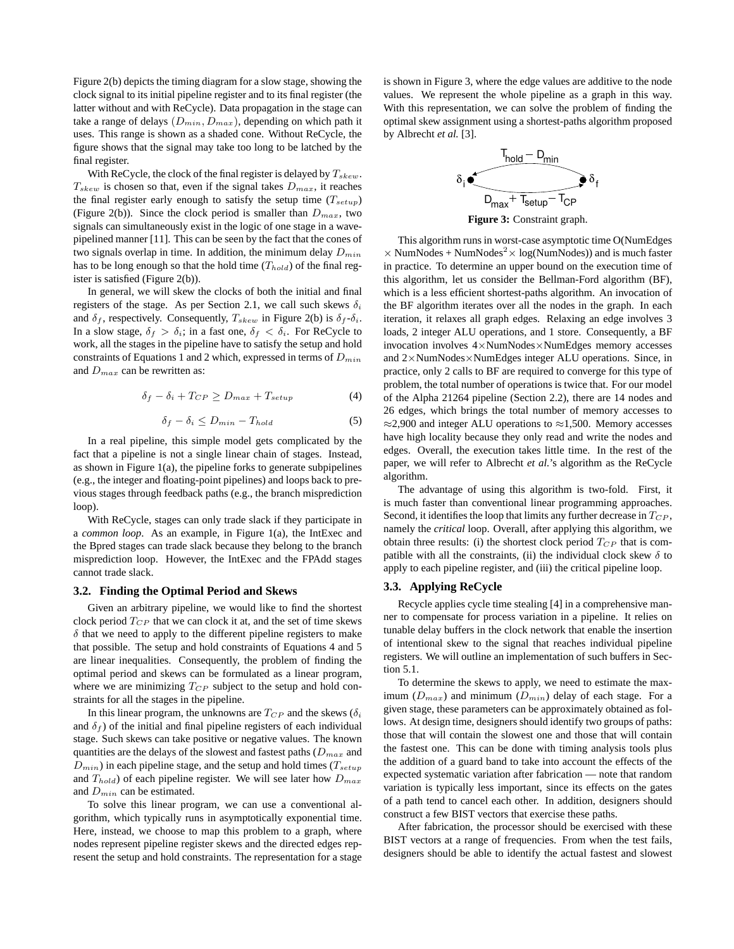Figure 2(b) depicts the timing diagram for a slow stage, showing the clock signal to its initial pipeline register and to its final register (the latter without and with ReCycle). Data propagation in the stage can take a range of delays  $(D_{min}, D_{max})$ , depending on which path it uses. This range is shown as a shaded cone. Without ReCycle, the figure shows that the signal may take too long to be latched by the final register.

With ReCycle, the clock of the final register is delayed by  $T_{skew}$ .  $T_{skew}$  is chosen so that, even if the signal takes  $D_{max}$ , it reaches the final register early enough to satisfy the setup time  $(T_{setup})$ (Figure 2(b)). Since the clock period is smaller than  $D_{max}$ , two signals can simultaneously exist in the logic of one stage in a wavepipelined manner [11]. This can be seen by the fact that the cones of two signals overlap in time. In addition, the minimum delay  $D_{min}$ has to be long enough so that the hold time  $(T_{hold})$  of the final register is satisfied (Figure 2(b)).

In general, we will skew the clocks of both the initial and final registers of the stage. As per Section 2.1, we call such skews  $\delta_i$ and  $\delta_f$ , respectively. Consequently,  $T_{skew}$  in Figure 2(b) is  $\delta_f$ - $\delta_i$ . In a slow stage,  $\delta_f > \delta_i$ ; in a fast one,  $\delta_f < \delta_i$ . For ReCycle to work, all the stages in the pipeline have to satisfy the setup and hold constraints of Equations 1 and 2 which, expressed in terms of  $D_{min}$ and  $D_{max}$  can be rewritten as:

$$
\delta_f - \delta_i + T_{CP} \ge D_{max} + T_{setup} \tag{4}
$$

$$
\delta_f - \delta_i \le D_{min} - T_{hold} \tag{5}
$$

In a real pipeline, this simple model gets complicated by the fact that a pipeline is not a single linear chain of stages. Instead, as shown in Figure 1(a), the pipeline forks to generate subpipelines (e.g., the integer and floating-point pipelines) and loops back to previous stages through feedback paths (e.g., the branch misprediction loop).

With ReCycle, stages can only trade slack if they participate in a *common loop*. As an example, in Figure 1(a), the IntExec and the Bpred stages can trade slack because they belong to the branch misprediction loop. However, the IntExec and the FPAdd stages cannot trade slack.

#### **3.2. Finding the Optimal Period and Skews**

Given an arbitrary pipeline, we would like to find the shortest clock period  $T_{CP}$  that we can clock it at, and the set of time skews  $\delta$  that we need to apply to the different pipeline registers to make that possible. The setup and hold constraints of Equations 4 and 5 are linear inequalities. Consequently, the problem of finding the optimal period and skews can be formulated as a linear program, where we are minimizing  $T_{CP}$  subject to the setup and hold constraints for all the stages in the pipeline.

In this linear program, the unknowns are  $T_{CP}$  and the skews ( $\delta_i$ and  $\delta_f$ ) of the initial and final pipeline registers of each individual stage. Such skews can take positive or negative values. The known quantities are the delays of the slowest and fastest paths  $(D_{max}$  and  $D_{min}$ ) in each pipeline stage, and the setup and hold times ( $T_{setup}$ ) and  $T_{hold}$ ) of each pipeline register. We will see later how  $D_{max}$ and  $D_{min}$  can be estimated.

To solve this linear program, we can use a conventional algorithm, which typically runs in asymptotically exponential time. Here, instead, we choose to map this problem to a graph, where nodes represent pipeline register skews and the directed edges represent the setup and hold constraints. The representation for a stage is shown in Figure 3, where the edge values are additive to the node values. We represent the whole pipeline as a graph in this way. With this representation, we can solve the problem of finding the optimal skew assignment using a shortest-paths algorithm proposed by Albrecht *et al.* [3].



**Figure 3:** Constraint graph.

This algorithm runs in worst-case asymptotic time O(NumEdges  $\times$  NumNodes + NumNodes<sup>2</sup> $\times$  log(NumNodes)) and is much faster in practice. To determine an upper bound on the execution time of this algorithm, let us consider the Bellman-Ford algorithm (BF), which is a less efficient shortest-paths algorithm. An invocation of the BF algorithm iterates over all the nodes in the graph. In each iteration, it relaxes all graph edges. Relaxing an edge involves 3 loads, 2 integer ALU operations, and 1 store. Consequently, a BF invocation involves 4×NumNodes×NumEdges memory accesses and 2×NumNodes×NumEdges integer ALU operations. Since, in practice, only 2 calls to BF are required to converge for this type of problem, the total number of operations is twice that. For our model of the Alpha 21264 pipeline (Section 2.2), there are 14 nodes and 26 edges, which brings the total number of memory accesses to  $\approx$ 2,900 and integer ALU operations to  $\approx$ 1,500. Memory accesses have high locality because they only read and write the nodes and edges. Overall, the execution takes little time. In the rest of the paper, we will refer to Albrecht *et al.*'s algorithm as the ReCycle algorithm.

The advantage of using this algorithm is two-fold. First, it is much faster than conventional linear programming approaches. Second, it identifies the loop that limits any further decrease in  $T_{CP}$ , namely the *critical* loop. Overall, after applying this algorithm, we obtain three results: (i) the shortest clock period  $T_{CP}$  that is compatible with all the constraints, (ii) the individual clock skew  $\delta$  to apply to each pipeline register, and (iii) the critical pipeline loop.

#### **3.3. Applying ReCycle**

Recycle applies cycle time stealing [4] in a comprehensive manner to compensate for process variation in a pipeline. It relies on tunable delay buffers in the clock network that enable the insertion of intentional skew to the signal that reaches individual pipeline registers. We will outline an implementation of such buffers in Section 5.1.

To determine the skews to apply, we need to estimate the maximum  $(D_{max})$  and minimum  $(D_{min})$  delay of each stage. For a given stage, these parameters can be approximately obtained as follows. At design time, designers should identify two groups of paths: those that will contain the slowest one and those that will contain the fastest one. This can be done with timing analysis tools plus the addition of a guard band to take into account the effects of the expected systematic variation after fabrication — note that random variation is typically less important, since its effects on the gates of a path tend to cancel each other. In addition, designers should construct a few BIST vectors that exercise these paths.

After fabrication, the processor should be exercised with these BIST vectors at a range of frequencies. From when the test fails, designers should be able to identify the actual fastest and slowest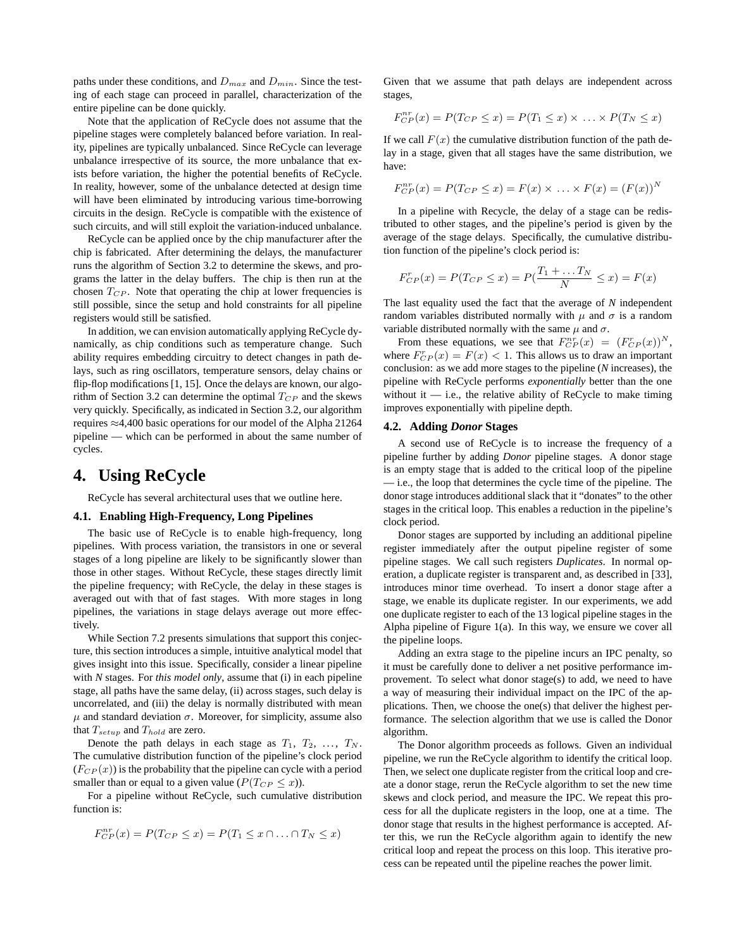paths under these conditions, and  $D_{max}$  and  $D_{min}$ . Since the testing of each stage can proceed in parallel, characterization of the entire pipeline can be done quickly.

Note that the application of ReCycle does not assume that the pipeline stages were completely balanced before variation. In reality, pipelines are typically unbalanced. Since ReCycle can leverage unbalance irrespective of its source, the more unbalance that exists before variation, the higher the potential benefits of ReCycle. In reality, however, some of the unbalance detected at design time will have been eliminated by introducing various time-borrowing circuits in the design. ReCycle is compatible with the existence of such circuits, and will still exploit the variation-induced unbalance.

ReCycle can be applied once by the chip manufacturer after the chip is fabricated. After determining the delays, the manufacturer runs the algorithm of Section 3.2 to determine the skews, and programs the latter in the delay buffers. The chip is then run at the chosen  $T_{CP}$ . Note that operating the chip at lower frequencies is still possible, since the setup and hold constraints for all pipeline registers would still be satisfied.

In addition, we can envision automatically applying ReCycle dynamically, as chip conditions such as temperature change. Such ability requires embedding circuitry to detect changes in path delays, such as ring oscillators, temperature sensors, delay chains or flip-flop modifications [1, 15]. Once the delays are known, our algorithm of Section 3.2 can determine the optimal  $T_{CP}$  and the skews very quickly. Specifically, as indicated in Section 3.2, our algorithm requires ≈4,400 basic operations for our model of the Alpha 21264 pipeline — which can be performed in about the same number of cycles.

### **4. Using ReCycle**

ReCycle has several architectural uses that we outline here.

#### **4.1. Enabling High-Frequency, Long Pipelines**

The basic use of ReCycle is to enable high-frequency, long pipelines. With process variation, the transistors in one or several stages of a long pipeline are likely to be significantly slower than those in other stages. Without ReCycle, these stages directly limit the pipeline frequency; with ReCycle, the delay in these stages is averaged out with that of fast stages. With more stages in long pipelines, the variations in stage delays average out more effectively.

While Section 7.2 presents simulations that support this conjecture, this section introduces a simple, intuitive analytical model that gives insight into this issue. Specifically, consider a linear pipeline with *N* stages. For *this model only*, assume that (i) in each pipeline stage, all paths have the same delay, (ii) across stages, such delay is uncorrelated, and (iii) the delay is normally distributed with mean  $\mu$  and standard deviation  $\sigma$ . Moreover, for simplicity, assume also that  $T_{setup}$  and  $T_{hold}$  are zero.

Denote the path delays in each stage as  $T_1$ ,  $T_2$ , ...,  $T_N$ . The cumulative distribution function of the pipeline's clock period  $(F_{CP}(x))$  is the probability that the pipeline can cycle with a period smaller than or equal to a given value ( $P(T_{CP} \leq x)$ ).

For a pipeline without ReCycle, such cumulative distribution function is:

$$
F_{CP}^{nr}(x) = P(T_{CP} \le x) = P(T_1 \le x \cap \ldots \cap T_N \le x)
$$

Given that we assume that path delays are independent across stages,

$$
F_{CP}^{nr}(x) = P(T_{CP} \leq x) = P(T_1 \leq x) \times \ldots \times P(T_N \leq x)
$$

If we call  $F(x)$  the cumulative distribution function of the path delay in a stage, given that all stages have the same distribution, we have:

$$
F_{CP}^{nr}(x) = P(T_{CP} \le x) = F(x) \times \ldots \times F(x) = (F(x))^N
$$

In a pipeline with Recycle, the delay of a stage can be redistributed to other stages, and the pipeline's period is given by the average of the stage delays. Specifically, the cumulative distribution function of the pipeline's clock period is:

$$
F_{CP}^r(x) = P(T_{CP} \le x) = P(\frac{T_1 + ... T_N}{N} \le x) = F(x)
$$

The last equality used the fact that the average of *N* independent random variables distributed normally with  $\mu$  and  $\sigma$  is a random variable distributed normally with the same  $\mu$  and  $\sigma$ .

From these equations, we see that  $F_{CP}^{nr}(x) = (F_{CP}^{r}(x))^{N}$ , where  $F_{CP}^{r}(x) = F(x) < 1$ . This allows us to draw an important conclusion: as we add more stages to the pipeline (*N* increases), the pipeline with ReCycle performs *exponentially* better than the one without it  $-$  i.e., the relative ability of ReCycle to make timing improves exponentially with pipeline depth.

#### **4.2. Adding** *Donor* **Stages**

A second use of ReCycle is to increase the frequency of a pipeline further by adding *Donor* pipeline stages. A donor stage is an empty stage that is added to the critical loop of the pipeline — i.e., the loop that determines the cycle time of the pipeline. The donor stage introduces additional slack that it "donates" to the other stages in the critical loop. This enables a reduction in the pipeline's clock period.

Donor stages are supported by including an additional pipeline register immediately after the output pipeline register of some pipeline stages. We call such registers *Duplicates*. In normal operation, a duplicate register is transparent and, as described in [33], introduces minor time overhead. To insert a donor stage after a stage, we enable its duplicate register. In our experiments, we add one duplicate register to each of the 13 logical pipeline stages in the Alpha pipeline of Figure 1(a). In this way, we ensure we cover all the pipeline loops.

Adding an extra stage to the pipeline incurs an IPC penalty, so it must be carefully done to deliver a net positive performance improvement. To select what donor stage(s) to add, we need to have a way of measuring their individual impact on the IPC of the applications. Then, we choose the one(s) that deliver the highest performance. The selection algorithm that we use is called the Donor algorithm.

The Donor algorithm proceeds as follows. Given an individual pipeline, we run the ReCycle algorithm to identify the critical loop. Then, we select one duplicate register from the critical loop and create a donor stage, rerun the ReCycle algorithm to set the new time skews and clock period, and measure the IPC. We repeat this process for all the duplicate registers in the loop, one at a time. The donor stage that results in the highest performance is accepted. After this, we run the ReCycle algorithm again to identify the new critical loop and repeat the process on this loop. This iterative process can be repeated until the pipeline reaches the power limit.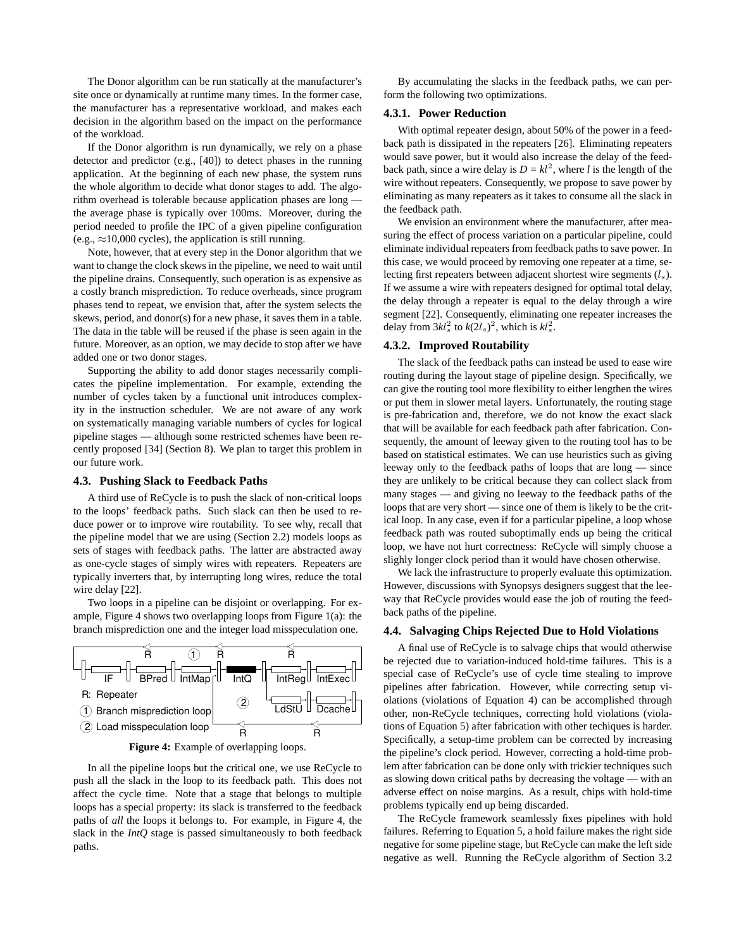The Donor algorithm can be run statically at the manufacturer's site once or dynamically at runtime many times. In the former case, the manufacturer has a representative workload, and makes each decision in the algorithm based on the impact on the performance of the workload.

If the Donor algorithm is run dynamically, we rely on a phase detector and predictor (e.g., [40]) to detect phases in the running application. At the beginning of each new phase, the system runs the whole algorithm to decide what donor stages to add. The algorithm overhead is tolerable because application phases are long the average phase is typically over 100ms. Moreover, during the period needed to profile the IPC of a given pipeline configuration  $(e.g., \approx 10,000$  cycles), the application is still running.

Note, however, that at every step in the Donor algorithm that we want to change the clock skews in the pipeline, we need to wait until the pipeline drains. Consequently, such operation is as expensive as a costly branch misprediction. To reduce overheads, since program phases tend to repeat, we envision that, after the system selects the skews, period, and donor(s) for a new phase, it saves them in a table. The data in the table will be reused if the phase is seen again in the future. Moreover, as an option, we may decide to stop after we have added one or two donor stages.

Supporting the ability to add donor stages necessarily complicates the pipeline implementation. For example, extending the number of cycles taken by a functional unit introduces complexity in the instruction scheduler. We are not aware of any work on systematically managing variable numbers of cycles for logical pipeline stages — although some restricted schemes have been recently proposed [34] (Section 8). We plan to target this problem in our future work.

#### **4.3. Pushing Slack to Feedback Paths**

A third use of ReCycle is to push the slack of non-critical loops to the loops' feedback paths. Such slack can then be used to reduce power or to improve wire routability. To see why, recall that the pipeline model that we are using (Section 2.2) models loops as sets of stages with feedback paths. The latter are abstracted away as one-cycle stages of simply wires with repeaters. Repeaters are typically inverters that, by interrupting long wires, reduce the total wire delay [22].

Two loops in a pipeline can be disjoint or overlapping. For example, Figure 4 shows two overlapping loops from Figure 1(a): the branch misprediction one and the integer load misspeculation one.



**Figure 4:** Example of overlapping loops.

In all the pipeline loops but the critical one, we use ReCycle to push all the slack in the loop to its feedback path. This does not affect the cycle time. Note that a stage that belongs to multiple loops has a special property: its slack is transferred to the feedback paths of *all* the loops it belongs to. For example, in Figure 4, the slack in the *IntQ* stage is passed simultaneously to both feedback paths.

By accumulating the slacks in the feedback paths, we can perform the following two optimizations.

#### **4.3.1. Power Reduction**

With optimal repeater design, about 50% of the power in a feedback path is dissipated in the repeaters [26]. Eliminating repeaters would save power, but it would also increase the delay of the feedback path, since a wire delay is  $D = kl^2$ , where *l* is the length of the wire without repeaters. Consequently, we propose to save power by eliminating as many repeaters as it takes to consume all the slack in the feedback path.

We envision an environment where the manufacturer, after measuring the effect of process variation on a particular pipeline, could eliminate individual repeaters from feedback paths to save power. In this case, we would proceed by removing one repeater at a time, selecting first repeaters between adjacent shortest wire segments  $(l<sub>s</sub>)$ . If we assume a wire with repeaters designed for optimal total delay, the delay through a repeater is equal to the delay through a wire segment [22]. Consequently, eliminating one repeater increases the delay from  $3kl_s^2$  to  $k(2l_s)^2$ , which is  $kl_s^2$ .

#### **4.3.2. Improved Routability**

The slack of the feedback paths can instead be used to ease wire routing during the layout stage of pipeline design. Specifically, we can give the routing tool more flexibility to either lengthen the wires or put them in slower metal layers. Unfortunately, the routing stage is pre-fabrication and, therefore, we do not know the exact slack that will be available for each feedback path after fabrication. Consequently, the amount of leeway given to the routing tool has to be based on statistical estimates. We can use heuristics such as giving leeway only to the feedback paths of loops that are long — since they are unlikely to be critical because they can collect slack from many stages — and giving no leeway to the feedback paths of the loops that are very short — since one of them is likely to be the critical loop. In any case, even if for a particular pipeline, a loop whose feedback path was routed suboptimally ends up being the critical loop, we have not hurt correctness: ReCycle will simply choose a slighly longer clock period than it would have chosen otherwise.

We lack the infrastructure to properly evaluate this optimization. However, discussions with Synopsys designers suggest that the leeway that ReCycle provides would ease the job of routing the feedback paths of the pipeline.

#### **4.4. Salvaging Chips Rejected Due to Hold Violations**

A final use of ReCycle is to salvage chips that would otherwise be rejected due to variation-induced hold-time failures. This is a special case of ReCycle's use of cycle time stealing to improve pipelines after fabrication. However, while correcting setup violations (violations of Equation 4) can be accomplished through other, non-ReCycle techniques, correcting hold violations (violations of Equation 5) after fabrication with other techiques is harder. Specifically, a setup-time problem can be corrected by increasing the pipeline's clock period. However, correcting a hold-time problem after fabrication can be done only with trickier techniques such as slowing down critical paths by decreasing the voltage — with an adverse effect on noise margins. As a result, chips with hold-time problems typically end up being discarded.

The ReCycle framework seamlessly fixes pipelines with hold failures. Referring to Equation 5, a hold failure makes the right side negative for some pipeline stage, but ReCycle can make the left side negative as well. Running the ReCycle algorithm of Section 3.2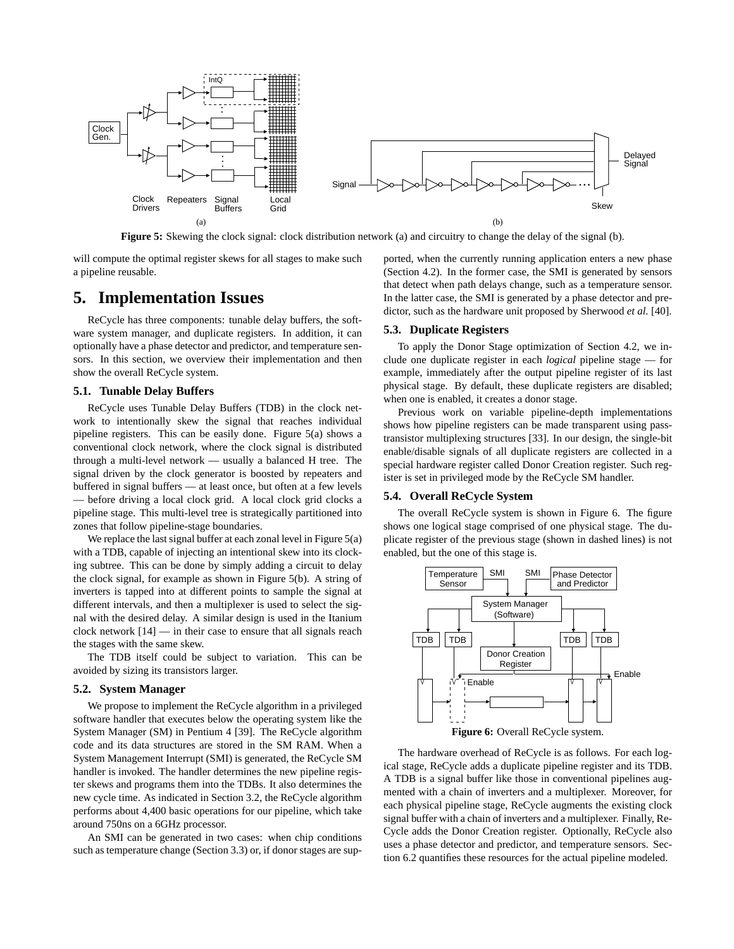

**Figure 5:** Skewing the clock signal: clock distribution network (a) and circuitry to change the delay of the signal (b).

will compute the optimal register skews for all stages to make such a pipeline reusable.

# **5. Implementation Issues**

ReCycle has three components: tunable delay buffers, the software system manager, and duplicate registers. In addition, it can optionally have a phase detector and predictor, and temperature sensors. In this section, we overview their implementation and then show the overall ReCycle system.

#### **5.1. Tunable Delay Buffers**

ReCycle uses Tunable Delay Buffers (TDB) in the clock network to intentionally skew the signal that reaches individual pipeline registers. This can be easily done. Figure 5(a) shows a conventional clock network, where the clock signal is distributed through a multi-level network — usually a balanced H tree. The signal driven by the clock generator is boosted by repeaters and buffered in signal buffers — at least once, but often at a few levels — before driving a local clock grid. A local clock grid clocks a pipeline stage. This multi-level tree is strategically partitioned into zones that follow pipeline-stage boundaries.

We replace the last signal buffer at each zonal level in Figure 5(a) with a TDB, capable of injecting an intentional skew into its clocking subtree. This can be done by simply adding a circuit to delay the clock signal, for example as shown in Figure 5(b). A string of inverters is tapped into at different points to sample the signal at different intervals, and then a multiplexer is used to select the signal with the desired delay. A similar design is used in the Itanium clock network [14] — in their case to ensure that all signals reach the stages with the same skew.

The TDB itself could be subject to variation. This can be avoided by sizing its transistors larger.

#### **5.2. System Manager**

We propose to implement the ReCycle algorithm in a privileged software handler that executes below the operating system like the System Manager (SM) in Pentium 4 [39]. The ReCycle algorithm code and its data structures are stored in the SM RAM. When a System Management Interrupt (SMI) is generated, the ReCycle SM handler is invoked. The handler determines the new pipeline register skews and programs them into the TDBs. It also determines the new cycle time. As indicated in Section 3.2, the ReCycle algorithm performs about 4,400 basic operations for our pipeline, which take around 750ns on a 6GHz processor.

An SMI can be generated in two cases: when chip conditions such as temperature change (Section 3.3) or, if donor stages are sup-

ported, when the currently running application enters a new phase (Section 4.2). In the former case, the SMI is generated by sensors that detect when path delays change, such as a temperature sensor. In the latter case, the SMI is generated by a phase detector and predictor, such as the hardware unit proposed by Sherwood *et al.* [40].

#### **5.3. Duplicate Registers**

To apply the Donor Stage optimization of Section 4.2, we include one duplicate register in each *logical* pipeline stage — for example, immediately after the output pipeline register of its last physical stage. By default, these duplicate registers are disabled; when one is enabled, it creates a donor stage.

Previous work on variable pipeline-depth implementations shows how pipeline registers can be made transparent using passtransistor multiplexing structures [33]. In our design, the single-bit enable/disable signals of all duplicate registers are collected in a special hardware register called Donor Creation register. Such register is set in privileged mode by the ReCycle SM handler.

#### **5.4. Overall ReCycle System**

The overall ReCycle system is shown in Figure 6. The figure shows one logical stage comprised of one physical stage. The duplicate register of the previous stage (shown in dashed lines) is not enabled, but the one of this stage is.



The hardware overhead of ReCycle is as follows. For each logical stage, ReCycle adds a duplicate pipeline register and its TDB. A TDB is a signal buffer like those in conventional pipelines augmented with a chain of inverters and a multiplexer. Moreover, for each physical pipeline stage, ReCycle augments the existing clock signal buffer with a chain of inverters and a multiplexer. Finally, Re-Cycle adds the Donor Creation register. Optionally, ReCycle also uses a phase detector and predictor, and temperature sensors. Section 6.2 quantifies these resources for the actual pipeline modeled.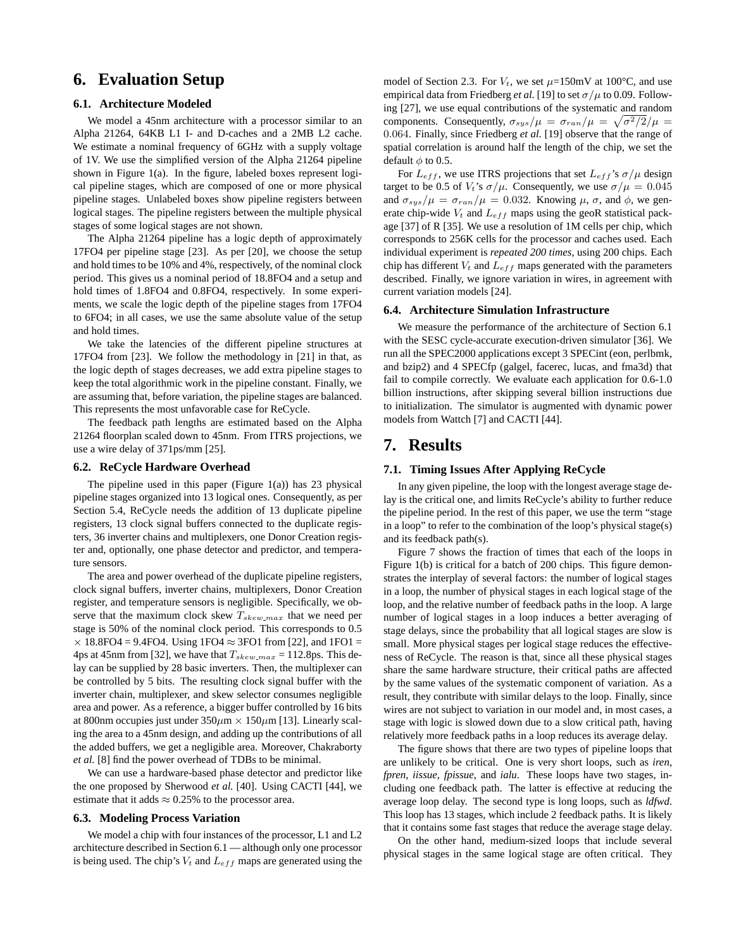### **6. Evaluation Setup**

#### **6.1. Architecture Modeled**

We model a 45nm architecture with a processor similar to an Alpha 21264, 64KB L1 I- and D-caches and a 2MB L2 cache. We estimate a nominal frequency of 6GHz with a supply voltage of 1V. We use the simplified version of the Alpha 21264 pipeline shown in Figure 1(a). In the figure, labeled boxes represent logical pipeline stages, which are composed of one or more physical pipeline stages. Unlabeled boxes show pipeline registers between logical stages. The pipeline registers between the multiple physical stages of some logical stages are not shown.

The Alpha 21264 pipeline has a logic depth of approximately 17FO4 per pipeline stage [23]. As per [20], we choose the setup and hold times to be 10% and 4%, respectively, of the nominal clock period. This gives us a nominal period of 18.8FO4 and a setup and hold times of 1.8FO4 and 0.8FO4, respectively. In some experiments, we scale the logic depth of the pipeline stages from 17FO4 to 6FO4; in all cases, we use the same absolute value of the setup and hold times.

We take the latencies of the different pipeline structures at 17FO4 from [23]. We follow the methodology in [21] in that, as the logic depth of stages decreases, we add extra pipeline stages to keep the total algorithmic work in the pipeline constant. Finally, we are assuming that, before variation, the pipeline stages are balanced. This represents the most unfavorable case for ReCycle.

The feedback path lengths are estimated based on the Alpha 21264 floorplan scaled down to 45nm. From ITRS projections, we use a wire delay of 371ps/mm [25].

#### **6.2. ReCycle Hardware Overhead**

The pipeline used in this paper (Figure 1(a)) has  $23$  physical pipeline stages organized into 13 logical ones. Consequently, as per Section 5.4, ReCycle needs the addition of 13 duplicate pipeline registers, 13 clock signal buffers connected to the duplicate registers, 36 inverter chains and multiplexers, one Donor Creation register and, optionally, one phase detector and predictor, and temperature sensors.

The area and power overhead of the duplicate pipeline registers, clock signal buffers, inverter chains, multiplexers, Donor Creation register, and temperature sensors is negligible. Specifically, we observe that the maximum clock skew  $T_{skew\_max}$  that we need per stage is 50% of the nominal clock period. This corresponds to 0.5  $\times$  18.8FO4 = 9.4FO4. Using 1FO4  $\approx$  3FO1 from [22], and 1FO1 = 4ps at 45nm from [32], we have that  $T_{skew\_max} = 112.8$ ps. This delay can be supplied by 28 basic inverters. Then, the multiplexer can be controlled by 5 bits. The resulting clock signal buffer with the inverter chain, multiplexer, and skew selector consumes negligible area and power. As a reference, a bigger buffer controlled by 16 bits at 800nm occupies just under  $350\mu m \times 150\mu m$  [13]. Linearly scaling the area to a 45nm design, and adding up the contributions of all the added buffers, we get a negligible area. Moreover, Chakraborty *et al.* [8] find the power overhead of TDBs to be minimal.

We can use a hardware-based phase detector and predictor like the one proposed by Sherwood *et al.* [40]. Using CACTI [44], we estimate that it adds  $\approx 0.25\%$  to the processor area.

#### **6.3. Modeling Process Variation**

We model a chip with four instances of the processor, L1 and L2 architecture described in Section 6.1 — although only one processor is being used. The chip's  $V_t$  and  $L_{eff}$  maps are generated using the

model of Section 2.3. For  $V_t$ , we set  $\mu$ =150mV at 100°C, and use empirical data from Friedberg *et al.* [19] to set  $\sigma/\mu$  to 0.09. Following [27], we use equal contributions of the systematic and random components. Consequently,  $\sigma_{sys}/\mu = \sigma_{ran}/\mu = \sqrt{\sigma^2/2}/\mu =$ 0.064. Finally, since Friedberg *et al.* [19] observe that the range of spatial correlation is around half the length of the chip, we set the default  $\phi$  to 0.5.

For  $L_{eff}$ , we use ITRS projections that set  $L_{eff}$ 's  $\sigma/\mu$  design target to be 0.5 of  $V_t$ 's  $\sigma/\mu$ . Consequently, we use  $\sigma/\mu = 0.045$ and  $\sigma_{sys}/\mu = \sigma_{ran}/\mu = 0.032$ . Knowing  $\mu$ ,  $\sigma$ , and  $\phi$ , we generate chip-wide  $V_t$  and  $L_{eff}$  maps using the geoR statistical package [37] of R [35]. We use a resolution of 1M cells per chip, which corresponds to 256K cells for the processor and caches used. Each individual experiment is *repeated 200 times*, using 200 chips. Each chip has different  $V_t$  and  $L_{eff}$  maps generated with the parameters described. Finally, we ignore variation in wires, in agreement with current variation models [24].

#### **6.4. Architecture Simulation Infrastructure**

We measure the performance of the architecture of Section 6.1 with the SESC cycle-accurate execution-driven simulator [36]. We run all the SPEC2000 applications except 3 SPECint (eon, perlbmk, and bzip2) and 4 SPECfp (galgel, facerec, lucas, and fma3d) that fail to compile correctly. We evaluate each application for 0.6-1.0 billion instructions, after skipping several billion instructions due to initialization. The simulator is augmented with dynamic power models from Wattch [7] and CACTI [44].

### **7. Results**

### **7.1. Timing Issues After Applying ReCycle**

In any given pipeline, the loop with the longest average stage delay is the critical one, and limits ReCycle's ability to further reduce the pipeline period. In the rest of this paper, we use the term "stage in a loop" to refer to the combination of the loop's physical stage(s) and its feedback path(s).

Figure 7 shows the fraction of times that each of the loops in Figure 1(b) is critical for a batch of 200 chips. This figure demonstrates the interplay of several factors: the number of logical stages in a loop, the number of physical stages in each logical stage of the loop, and the relative number of feedback paths in the loop. A large number of logical stages in a loop induces a better averaging of stage delays, since the probability that all logical stages are slow is small. More physical stages per logical stage reduces the effectiveness of ReCycle. The reason is that, since all these physical stages share the same hardware structure, their critical paths are affected by the same values of the systematic component of variation. As a result, they contribute with similar delays to the loop. Finally, since wires are not subject to variation in our model and, in most cases, a stage with logic is slowed down due to a slow critical path, having relatively more feedback paths in a loop reduces its average delay.

The figure shows that there are two types of pipeline loops that are unlikely to be critical. One is very short loops, such as *iren*, *fpren*, *iissue*, *fpissue*, and *ialu*. These loops have two stages, including one feedback path. The latter is effective at reducing the average loop delay. The second type is long loops, such as *ldfwd*. This loop has 13 stages, which include 2 feedback paths. It is likely that it contains some fast stages that reduce the average stage delay.

On the other hand, medium-sized loops that include several physical stages in the same logical stage are often critical. They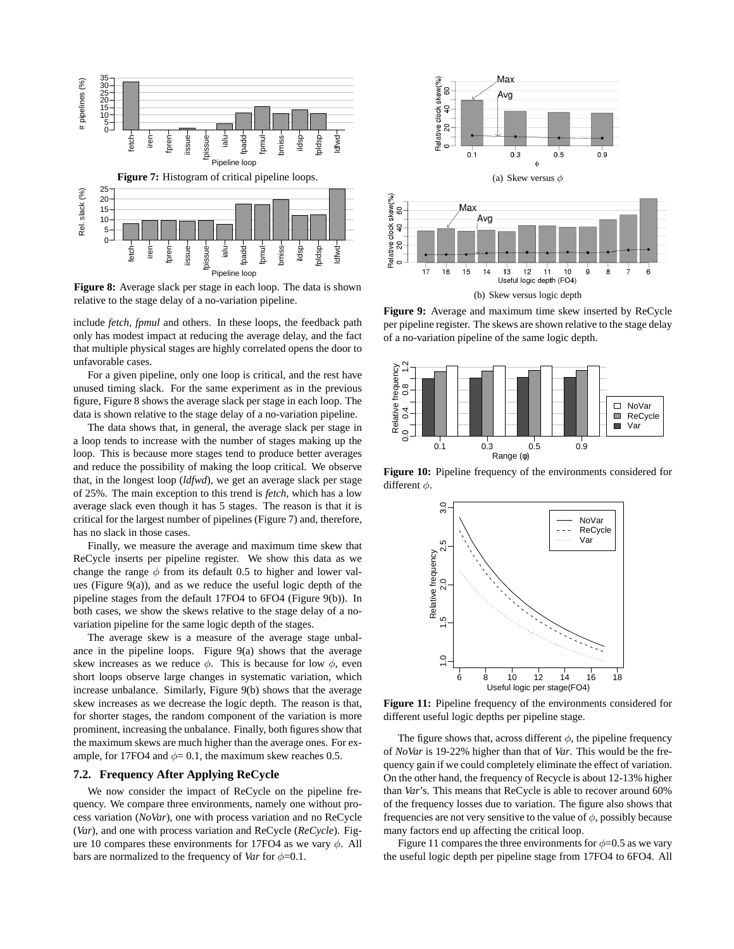

**Figure 8:** Average slack per stage in each loop. The data is shown relative to the stage delay of a no-variation pipeline.

include *fetch*, *fpmul* and others. In these loops, the feedback path only has modest impact at reducing the average delay, and the fact that multiple physical stages are highly correlated opens the door to unfavorable cases.

For a given pipeline, only one loop is critical, and the rest have unused timing slack. For the same experiment as in the previous figure, Figure 8 shows the average slack per stage in each loop. The data is shown relative to the stage delay of a no-variation pipeline.

The data shows that, in general, the average slack per stage in a loop tends to increase with the number of stages making up the loop. This is because more stages tend to produce better averages and reduce the possibility of making the loop critical. We observe that, in the longest loop (*ldfwd*), we get an average slack per stage of 25%. The main exception to this trend is *fetch*, which has a low average slack even though it has 5 stages. The reason is that it is critical for the largest number of pipelines (Figure 7) and, therefore, has no slack in those cases.

Finally, we measure the average and maximum time skew that ReCycle inserts per pipeline register. We show this data as we change the range  $\phi$  from its default 0.5 to higher and lower values (Figure  $9(a)$ ), and as we reduce the useful logic depth of the pipeline stages from the default 17FO4 to 6FO4 (Figure 9(b)). In both cases, we show the skews relative to the stage delay of a novariation pipeline for the same logic depth of the stages.

The average skew is a measure of the average stage unbalance in the pipeline loops. Figure 9(a) shows that the average skew increases as we reduce  $\phi$ . This is because for low  $\phi$ , even short loops observe large changes in systematic variation, which increase unbalance. Similarly, Figure 9(b) shows that the average skew increases as we decrease the logic depth. The reason is that, for shorter stages, the random component of the variation is more prominent, increasing the unbalance. Finally, both figures show that the maximum skews are much higher than the average ones. For example, for 17FO4 and  $\phi = 0.1$ , the maximum skew reaches 0.5.

#### **7.2. Frequency After Applying ReCycle**

We now consider the impact of ReCycle on the pipeline frequency. We compare three environments, namely one without process variation (*NoVar*), one with process variation and no ReCycle (*Var*), and one with process variation and ReCycle (*ReCycle*). Figure 10 compares these environments for 17FO4 as we vary  $\phi$ . All bars are normalized to the frequency of *Var* for  $\phi$ =0.1.



**Figure 9:** Average and maximum time skew inserted by ReCycle per pipeline register. The skews are shown relative to the stage delay of a no-variation pipeline of the same logic depth.



**Figure 10:** Pipeline frequency of the environments considered for different  $\phi$ .



**Figure 11:** Pipeline frequency of the environments considered for different useful logic depths per pipeline stage.

The figure shows that, across different  $\phi$ , the pipeline frequency of *NoVar* is 19-22% higher than that of *Var*. This would be the frequency gain if we could completely eliminate the effect of variation. On the other hand, the frequency of Recycle is about 12-13% higher than *Var*'s. This means that ReCycle is able to recover around 60% of the frequency losses due to variation. The figure also shows that frequencies are not very sensitive to the value of  $\phi$ , possibly because many factors end up affecting the critical loop.

Figure 11 compares the three environments for  $\phi$ =0.5 as we vary the useful logic depth per pipeline stage from 17FO4 to 6FO4. All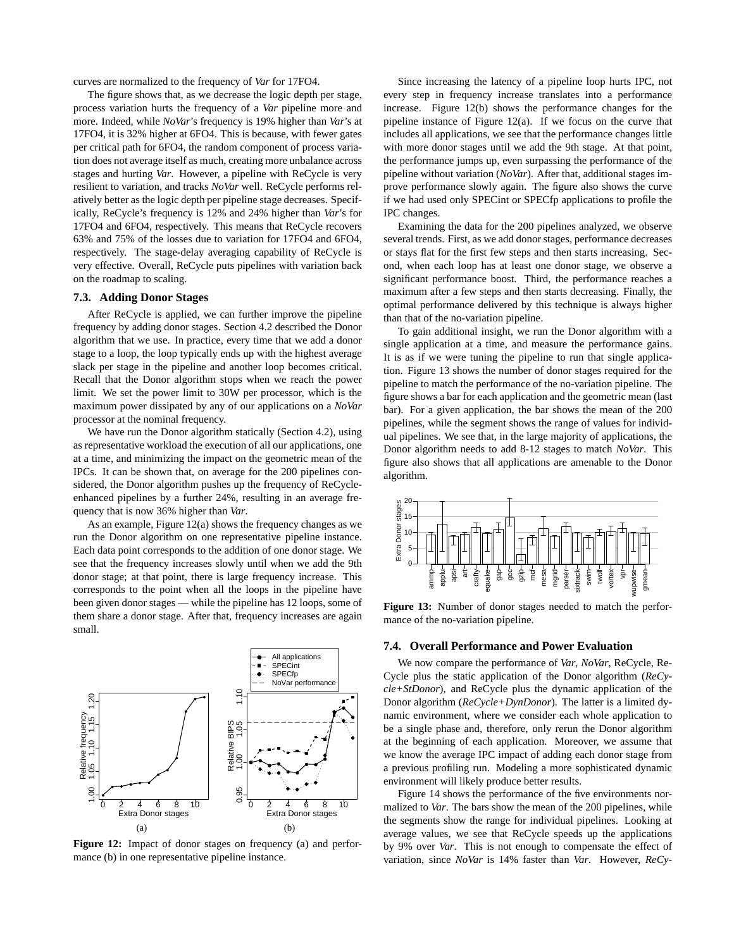curves are normalized to the frequency of *Var* for 17FO4.

The figure shows that, as we decrease the logic depth per stage, process variation hurts the frequency of a *Var* pipeline more and more. Indeed, while *NoVar*'s frequency is 19% higher than *Var*'s at 17FO4, it is 32% higher at 6FO4. This is because, with fewer gates per critical path for 6FO4, the random component of process variation does not average itself as much, creating more unbalance across stages and hurting *Var*. However, a pipeline with ReCycle is very resilient to variation, and tracks *NoVar* well. ReCycle performs relatively better as the logic depth per pipeline stage decreases. Specifically, ReCycle's frequency is 12% and 24% higher than *Var*'s for 17FO4 and 6FO4, respectively. This means that ReCycle recovers 63% and 75% of the losses due to variation for 17FO4 and 6FO4, respectively. The stage-delay averaging capability of ReCycle is very effective. Overall, ReCycle puts pipelines with variation back on the roadmap to scaling.

#### **7.3. Adding Donor Stages**

After ReCycle is applied, we can further improve the pipeline frequency by adding donor stages. Section 4.2 described the Donor algorithm that we use. In practice, every time that we add a donor stage to a loop, the loop typically ends up with the highest average slack per stage in the pipeline and another loop becomes critical. Recall that the Donor algorithm stops when we reach the power limit. We set the power limit to 30W per processor, which is the maximum power dissipated by any of our applications on a *NoVar* processor at the nominal frequency.

We have run the Donor algorithm statically (Section 4.2), using as representative workload the execution of all our applications, one at a time, and minimizing the impact on the geometric mean of the IPCs. It can be shown that, on average for the 200 pipelines considered, the Donor algorithm pushes up the frequency of ReCycleenhanced pipelines by a further 24%, resulting in an average frequency that is now 36% higher than *Var*.

As an example, Figure 12(a) shows the frequency changes as we run the Donor algorithm on one representative pipeline instance. Each data point corresponds to the addition of one donor stage. We see that the frequency increases slowly until when we add the 9th donor stage; at that point, there is large frequency increase. This corresponds to the point when all the loops in the pipeline have been given donor stages — while the pipeline has 12 loops, some of them share a donor stage. After that, frequency increases are again small.



**Figure 12:** Impact of donor stages on frequency (a) and performance (b) in one representative pipeline instance.

Since increasing the latency of a pipeline loop hurts IPC, not every step in frequency increase translates into a performance increase. Figure 12(b) shows the performance changes for the pipeline instance of Figure 12(a). If we focus on the curve that includes all applications, we see that the performance changes little with more donor stages until we add the 9th stage. At that point, the performance jumps up, even surpassing the performance of the pipeline without variation (*NoVar*). After that, additional stages improve performance slowly again. The figure also shows the curve if we had used only SPECint or SPECfp applications to profile the IPC changes.

Examining the data for the 200 pipelines analyzed, we observe several trends. First, as we add donor stages, performance decreases or stays flat for the first few steps and then starts increasing. Second, when each loop has at least one donor stage, we observe a significant performance boost. Third, the performance reaches a maximum after a few steps and then starts decreasing. Finally, the optimal performance delivered by this technique is always higher than that of the no-variation pipeline.

To gain additional insight, we run the Donor algorithm with a single application at a time, and measure the performance gains. It is as if we were tuning the pipeline to run that single application. Figure 13 shows the number of donor stages required for the pipeline to match the performance of the no-variation pipeline. The figure shows a bar for each application and the geometric mean (last bar). For a given application, the bar shows the mean of the 200 pipelines, while the segment shows the range of values for individual pipelines. We see that, in the large majority of applications, the Donor algorithm needs to add 8-12 stages to match *NoVar*. This figure also shows that all applications are amenable to the Donor algorithm.



**Figure 13:** Number of donor stages needed to match the performance of the no-variation pipeline.

#### **7.4. Overall Performance and Power Evaluation**

We now compare the performance of *Var*, *NoVar*, ReCycle, Re-Cycle plus the static application of the Donor algorithm (*ReCycle+StDonor*), and ReCycle plus the dynamic application of the Donor algorithm (*ReCycle+DynDonor*). The latter is a limited dynamic environment, where we consider each whole application to be a single phase and, therefore, only rerun the Donor algorithm at the beginning of each application. Moreover, we assume that we know the average IPC impact of adding each donor stage from a previous profiling run. Modeling a more sophisticated dynamic environment will likely produce better results.

Figure 14 shows the performance of the five environments normalized to *Var*. The bars show the mean of the 200 pipelines, while the segments show the range for individual pipelines. Looking at average values, we see that ReCycle speeds up the applications by 9% over *Var*. This is not enough to compensate the effect of variation, since *NoVar* is 14% faster than *Var*. However, *ReCy-*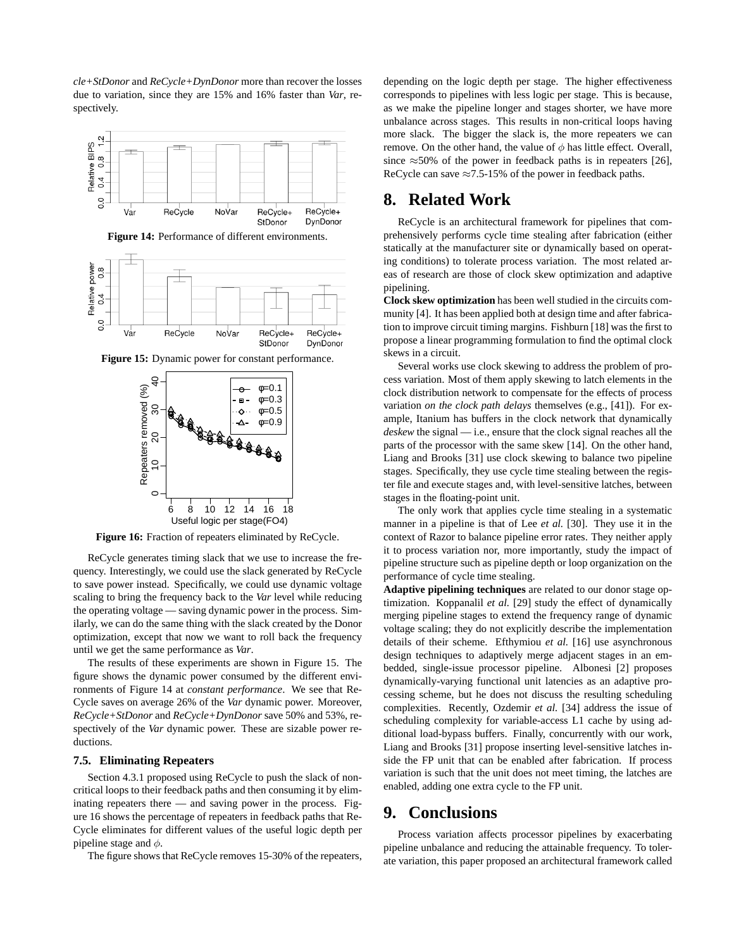*cle+StDonor* and *ReCycle+DynDonor* more than recover the losses due to variation, since they are 15% and 16% faster than *Var*, respectively.



**Figure 14:** Performance of different environments.



**Figure 15:** Dynamic power for constant performance.



**Figure 16:** Fraction of repeaters eliminated by ReCycle.

ReCycle generates timing slack that we use to increase the frequency. Interestingly, we could use the slack generated by ReCycle to save power instead. Specifically, we could use dynamic voltage scaling to bring the frequency back to the *Var* level while reducing the operating voltage — saving dynamic power in the process. Similarly, we can do the same thing with the slack created by the Donor optimization, except that now we want to roll back the frequency until we get the same performance as *Var*.

The results of these experiments are shown in Figure 15. The figure shows the dynamic power consumed by the different environments of Figure 14 at *constant performance*. We see that Re-Cycle saves on average 26% of the *Var* dynamic power. Moreover, *ReCycle+StDonor* and *ReCycle+DynDonor* save 50% and 53%, respectively of the *Var* dynamic power. These are sizable power reductions.

#### **7.5. Eliminating Repeaters**

Section 4.3.1 proposed using ReCycle to push the slack of noncritical loops to their feedback paths and then consuming it by eliminating repeaters there — and saving power in the process. Figure 16 shows the percentage of repeaters in feedback paths that Re-Cycle eliminates for different values of the useful logic depth per pipeline stage and  $\phi$ .

The figure shows that ReCycle removes 15-30% of the repeaters,

depending on the logic depth per stage. The higher effectiveness corresponds to pipelines with less logic per stage. This is because, as we make the pipeline longer and stages shorter, we have more unbalance across stages. This results in non-critical loops having more slack. The bigger the slack is, the more repeaters we can remove. On the other hand, the value of  $\phi$  has little effect. Overall, since  $\approx$  50% of the power in feedback paths is in repeaters [26], ReCycle can save  $\approx 7.5$ -15% of the power in feedback paths.

# **8. Related Work**

ReCycle is an architectural framework for pipelines that comprehensively performs cycle time stealing after fabrication (either statically at the manufacturer site or dynamically based on operating conditions) to tolerate process variation. The most related areas of research are those of clock skew optimization and adaptive pipelining.

**Clock skew optimization** has been well studied in the circuits community [4]. It has been applied both at design time and after fabrication to improve circuit timing margins. Fishburn [18] was the first to propose a linear programming formulation to find the optimal clock skews in a circuit.

Several works use clock skewing to address the problem of process variation. Most of them apply skewing to latch elements in the clock distribution network to compensate for the effects of process variation *on the clock path delays* themselves (e.g., [41]). For example, Itanium has buffers in the clock network that dynamically *deskew* the signal — i.e., ensure that the clock signal reaches all the parts of the processor with the same skew [14]. On the other hand, Liang and Brooks [31] use clock skewing to balance two pipeline stages. Specifically, they use cycle time stealing between the register file and execute stages and, with level-sensitive latches, between stages in the floating-point unit.

The only work that applies cycle time stealing in a systematic manner in a pipeline is that of Lee *et al.* [30]. They use it in the context of Razor to balance pipeline error rates. They neither apply it to process variation nor, more importantly, study the impact of pipeline structure such as pipeline depth or loop organization on the performance of cycle time stealing.

**Adaptive pipelining techniques** are related to our donor stage optimization. Koppanalil *et al.* [29] study the effect of dynamically merging pipeline stages to extend the frequency range of dynamic voltage scaling; they do not explicitly describe the implementation details of their scheme. Efthymiou *et al.* [16] use asynchronous design techniques to adaptively merge adjacent stages in an embedded, single-issue processor pipeline. Albonesi [2] proposes dynamically-varying functional unit latencies as an adaptive processing scheme, but he does not discuss the resulting scheduling complexities. Recently, Ozdemir *et al.* [34] address the issue of scheduling complexity for variable-access L1 cache by using additional load-bypass buffers. Finally, concurrently with our work, Liang and Brooks [31] propose inserting level-sensitive latches inside the FP unit that can be enabled after fabrication. If process variation is such that the unit does not meet timing, the latches are enabled, adding one extra cycle to the FP unit.

# **9. Conclusions**

Process variation affects processor pipelines by exacerbating pipeline unbalance and reducing the attainable frequency. To tolerate variation, this paper proposed an architectural framework called